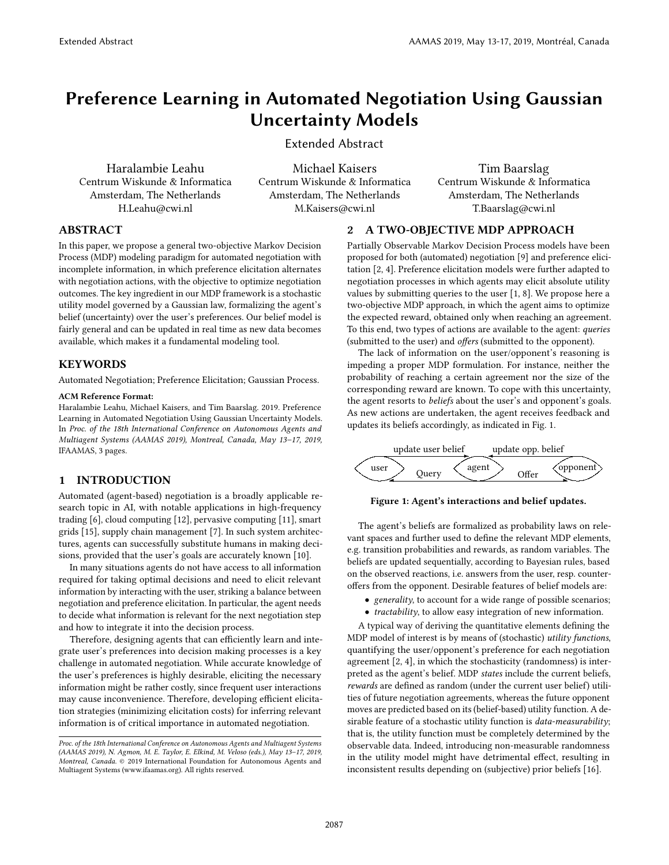# Preference Learning in Automated Negotiation Using Gaussian Uncertainty Models

Extended Abstract

Haralambie Leahu Centrum Wiskunde & Informatica Amsterdam, The Netherlands H.Leahu@cwi.nl

Michael Kaisers Centrum Wiskunde & Informatica Amsterdam, The Netherlands M.Kaisers@cwi.nl

Tim Baarslag Centrum Wiskunde & Informatica Amsterdam, The Netherlands T.Baarslag@cwi.nl

# ABSTRACT

In this paper, we propose a general two-objective Markov Decision Process (MDP) modeling paradigm for automated negotiation with incomplete information, in which preference elicitation alternates with negotiation actions, with the objective to optimize negotiation outcomes. The key ingredient in our MDP framework is a stochastic utility model governed by a Gaussian law, formalizing the agent's belief (uncertainty) over the user's preferences. Our belief model is fairly general and can be updated in real time as new data becomes available, which makes it a fundamental modeling tool.

# **KEYWORDS**

Automated Negotiation; Preference Elicitation; Gaussian Process.

#### ACM Reference Format:

Haralambie Leahu, Michael Kaisers, and Tim Baarslag. 2019. Preference Learning in Automated Negotiation Using Gaussian Uncertainty Models. In Proc. of the 18th International Conference on Autonomous Agents and Multiagent Systems (AAMAS 2019), Montreal, Canada, May 13–17, 2019, IFAAMAS, [3](#page-2-0) pages.

# 1 INTRODUCTION

Automated (agent-based) negotiation is a broadly applicable research topic in AI, with notable applications in high-frequency trading [\[6\]](#page-2-1), cloud computing [\[12\]](#page-2-2), pervasive computing [\[11\]](#page-2-3), smart grids [\[15\]](#page-2-4), supply chain management [\[7\]](#page-2-5). In such system architectures, agents can successfully substitute humans in making decisions, provided that the user's goals are accurately known [\[10\]](#page-2-6).

In many situations agents do not have access to all information required for taking optimal decisions and need to elicit relevant information by interacting with the user, striking a balance between negotiation and preference elicitation. In particular, the agent needs to decide what information is relevant for the next negotiation step and how to integrate it into the decision process.

Therefore, designing agents that can efficiently learn and integrate user's preferences into decision making processes is a key challenge in automated negotiation. While accurate knowledge of the user's preferences is highly desirable, eliciting the necessary information might be rather costly, since frequent user interactions may cause inconvenience. Therefore, developing efficient elicitation strategies (minimizing elicitation costs) for inferring relevant information is of critical importance in automated negotiation.

# <span id="page-0-1"></span>2 A TWO-OBJECTIVE MDP APPROACH

Partially Observable Markov Decision Process models have been proposed for both (automated) negotiation [\[9\]](#page-2-7) and preference elicitation [\[2,](#page-2-8) [4\]](#page-2-9). Preference elicitation models were further adapted to negotiation processes in which agents may elicit absolute utility values by submitting queries to the user [\[1,](#page-2-10) [8\]](#page-2-11). We propose here a two-objective MDP approach, in which the agent aims to optimize the expected reward, obtained only when reaching an agreement. To this end, two types of actions are available to the agent: queries (submitted to the user) and offers (submitted to the opponent).

The lack of information on the user/opponent's reasoning is impeding a proper MDP formulation. For instance, neither the probability of reaching a certain agreement nor the size of the corresponding reward are known. To cope with this uncertainty, the agent resorts to beliefs about the user's and opponent's goals. As new actions are undertaken, the agent receives feedback and updates its beliefs accordingly, as indicated in Fig. [1.](#page-0-0)

<span id="page-0-0"></span>

#### Figure 1: Agent's interactions and belief updates.

The agent's beliefs are formalized as probability laws on relevant spaces and further used to define the relevant MDP elements, e.g. transition probabilities and rewards, as random variables. The beliefs are updated sequentially, according to Bayesian rules, based on the observed reactions, i.e. answers from the user, resp. counteroffers from the opponent. Desirable features of belief models are:

- generality, to account for a wide range of possible scenarios;
- $\bullet\$   $tractability,$  to allow easy integration of new information.

A typical way of deriving the quantitative elements defining the MDP model of interest is by means of (stochastic) utility functions, quantifying the user/opponent's preference for each negotiation agreement [\[2,](#page-2-8) [4\]](#page-2-9), in which the stochasticity (randomness) is interpreted as the agent's belief. MDP states include the current beliefs, rewards are defined as random (under the current user belief) utilities of future negotiation agreements, whereas the future opponent moves are predicted based on its (belief-based) utility function. A desirable feature of a stochastic utility function is data-measurability; that is, the utility function must be completely determined by the observable data. Indeed, introducing non-measurable randomness in the utility model might have detrimental effect, resulting in inconsistent results depending on (subjective) prior beliefs [\[16\]](#page-2-12).

Proc. of the 18th International Conference on Autonomous Agents and Multiagent Systems (AAMAS 2019), N. Agmon, M. E. Taylor, E. Elkind, M. Veloso (eds.), May 13–17, 2019, Montreal, Canada. © 2019 International Foundation for Autonomous Agents and Multiagent Systems (www.ifaamas.org). All rights reserved.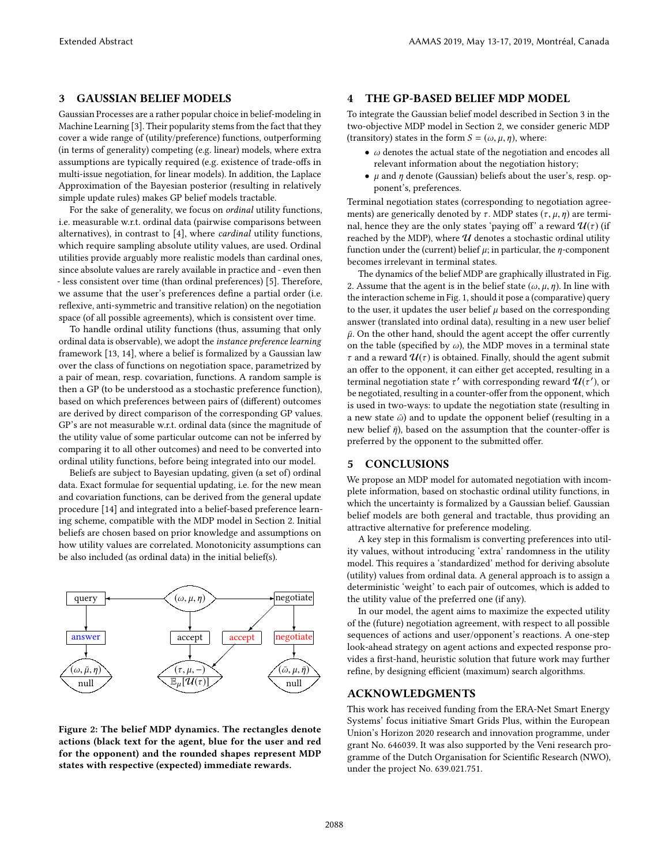# <span id="page-1-0"></span>3 GAUSSIAN BELIEF MODELS

Gaussian Processes are a rather popular choice in belief-modeling in Machine Learning [\[3\]](#page-2-13). Their popularity stems from the fact that they cover a wide range of (utility/preference) functions, outperforming (in terms of generality) competing (e.g. linear) models, where extra assumptions are typically required (e.g. existence of trade-offs in multi-issue negotiation, for linear models). In addition, the Laplace Approximation of the Bayesian posterior (resulting in relatively simple update rules) makes GP belief models tractable.

For the sake of generality, we focus on ordinal utility functions, i.e. measurable w.r.t. ordinal data (pairwise comparisons between alternatives), in contrast to [\[4\]](#page-2-9), where cardinal utility functions, which require sampling absolute utility values, are used. Ordinal utilities provide arguably more realistic models than cardinal ones, since absolute values are rarely available in practice and - even then - less consistent over time (than ordinal preferences) [\[5\]](#page-2-14). Therefore, we assume that the user's preferences define a partial order (i.e. reflexive, anti-symmetric and transitive relation) on the negotiation space (of all possible agreements), which is consistent over time.

To handle ordinal utility functions (thus, assuming that only ordinal data is observable), we adopt the instance preference learning framework [\[13,](#page-2-15) [14\]](#page-2-16), where a belief is formalized by a Gaussian law over the class of functions on negotiation space, parametrized by a pair of mean, resp. covariation, functions. A random sample is then a GP (to be understood as a stochastic preference function), based on which preferences between pairs of (different) outcomes are derived by direct comparison of the corresponding GP values. GP's are not measurable w.r.t. ordinal data (since the magnitude of the utility value of some particular outcome can not be inferred by comparing it to all other outcomes) and need to be converted into ordinal utility functions, before being integrated into our model.

Beliefs are subject to Bayesian updating, given (a set of) ordinal data. Exact formulae for sequential updating, i.e. for the new mean and covariation functions, can be derived from the general update procedure [\[14\]](#page-2-16) and integrated into a belief-based preference learning scheme, compatible with the MDP model in Section [2.](#page-0-1) Initial beliefs are chosen based on prior knowledge and assumptions on how utility values are correlated. Monotonicity assumptions can be also included (as ordinal data) in the initial belief(s).

<span id="page-1-1"></span>

Figure 2: The belief MDP dynamics. The rectangles denote actions (black text for the agent, blue for the user and red for the opponent) and the rounded shapes represent MDP states with respective (expected) immediate rewards.

## 4 THE GP-BASED BELIEF MDP MODEL

To integrate the Gaussian belief model described in Section [3](#page-1-0) in the two-objective MDP model in Section [2,](#page-0-1) we consider generic MDP (transitory) states in the form  $S = (\omega, \mu, \eta)$ , where:

- $\omega$  denotes the actual state of the negotiation and encodes all relevant information about the negotiation history;
- $\mu$  and  $\eta$  denote (Gaussian) beliefs about the user's, resp. opponent's, preferences.

Terminal negotiation states (corresponding to negotiation agreements) are generically denoted by  $\tau$ . MDP states  $(\tau, \mu, \eta)$  are terminal, hence they are the only states 'paying off' a reward  $\mathcal{U}(\tau)$  (if reached by the MDP), where  $U$  denotes a stochastic ordinal utility function under the (current) belief  $\mu$ ; in particular, the  $\eta$ -component becomes irrelevant in terminal states.

The dynamics of the belief MDP are graphically illustrated in Fig. [2.](#page-1-1) Assume that the agent is in the belief state  $(\omega, \mu, \eta)$ . In line with the interaction scheme in Fig. [1,](#page-0-0) should it pose a (comparative) query to the user, it updates the user belief  $\mu$  based on the corresponding answer (translated into ordinal data), resulting in a new user belief  $\bar{\mu}$ . On the other hand, should the agent accept the offer currently on the table (specified by  $\omega$ ), the MDP moves in a terminal state  $\tau$  and a reward  $\mathcal{U}(\tau)$  is obtained. Finally, should the agent submit an offer to the opponent, it can either get accepted, resulting in a terminal negotiation state  $\tau'$  with corresponding reward  $\mathcal{U}(\tau')$ , or be negotiated, resulting in a counter-offer from the opponent, which is used in two-ways: to update the negotiation state (resulting in a new state  $\bar{\omega}$ ) and to update the opponent belief (resulting in a new belief  $\bar{\eta}$ ), based on the assumption that the counter-offer is preferred by the opponent to the submitted offer.

#### 5 CONCLUSIONS

We propose an MDP model for automated negotiation with incomplete information, based on stochastic ordinal utility functions, in which the uncertainty is formalized by a Gaussian belief. Gaussian belief models are both general and tractable, thus providing an attractive alternative for preference modeling.

A key step in this formalism is converting preferences into utility values, without introducing 'extra' randomness in the utility model. This requires a 'standardized' method for deriving absolute (utility) values from ordinal data. A general approach is to assign a deterministic 'weight' to each pair of outcomes, which is added to the utility value of the preferred one (if any).

In our model, the agent aims to maximize the expected utility of the (future) negotiation agreement, with respect to all possible sequences of actions and user/opponent's reactions. A one-step look-ahead strategy on agent actions and expected response provides a first-hand, heuristic solution that future work may further refine, by designing efficient (maximum) search algorithms.

### ACKNOWLEDGMENTS

This work has received funding from the ERA-Net Smart Energy Systems' focus initiative Smart Grids Plus, within the European Union's Horizon 2020 research and innovation programme, under grant No. 646039. It was also supported by the Veni research programme of the Dutch Organisation for Scientific Research (NWO), under the project No. 639.021.751.